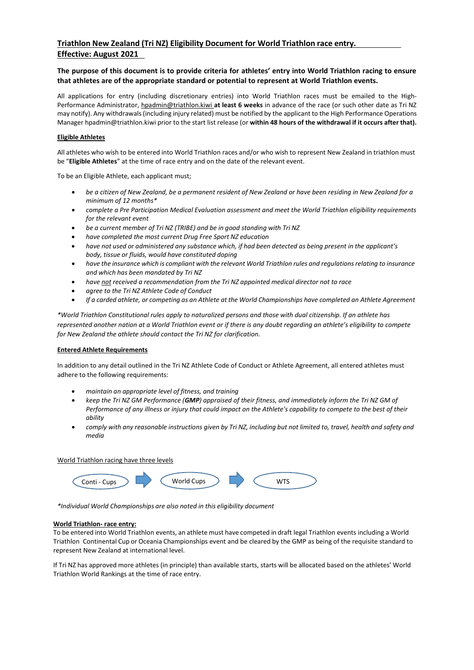# **The purpose of this document is to provide criteria for athletes' entry into World Triathlon racing to ensure that athletes are of the appropriate standard or potential to represent at World Triathlon events.**

All applications for entry (including discretionary entries) into World Triathlon races must be emailed to the High-Performance Administrator, [hpadmin@triathlon.kiwi](mailto:hpadmin@triathlon.kiwi) **at least 6 weeks** in advance of the race (or such other date as Tri NZ may notify). Any withdrawals(including injury related) must be notified by the applicant to the High Performance Operations Manager hpadmin@triathlon.kiwi prior to the start list release (or **within 48 hours of the withdrawal if it occurs after that).**

## **Eligible Athletes**

All athletes who wish to be entered into World Triathlon races and/or who wish to represent New Zealand in triathlon must be "**Eligible Athletes**" at the time of race entry and on the date of the relevant event.

To be an Eligible Athlete, each applicant must;

- *be a citizen of New Zealand, be a permanent resident of New Zealand or have been residing in New Zealand for a minimum of 12 months\**
- *complete a Pre Participation Medical Evaluation assessment and meet the World Triathlon eligibility requirements for the relevant event*
- *be a current member of Tri NZ (TRIBE) and be in good standing with Tri NZ*
- *have completed the most current Drug Free Sport NZ education*
- have not used or administered any substance which, if had been detected as being present in the applicant's *body, tissue or fluids, would have constituted doping*
- have the insurance which is compliant with the relevant World Triathlon rules and regulations relating to insurance *and which has been mandated by Tri NZ*
- *have not received a recommendation from the Tri NZ appointed medical director not to race*
- *agree to the Tri NZ Athlete Code of Conduct*
- If a carded athlete, or competing as an Athlete at the World Championships have completed an Athlete Agreement

*\*World Triathlon Constitutional rules apply to naturalized persons and those with dual citizenship. If an athlete has represented another nation at a World Triathlon event or if there is any doubt regarding an athlete's eligibility to compete for New Zealand the athlete should contact the Tri NZ for clarification.*

#### **Entered Athlete Requirements**

In addition to any detail outlined in the Tri NZ Athlete Code of Conduct or Athlete Agreement, all entered athletes must adhere to the following requirements:

- *maintain an appropriate level of fitness, and training*
- *keep the Tri NZ GM Performance (GMP) appraised of their fitness, and immediately inform the Tri NZ GM of Performance of any illness or injury that could impact on the Athlete's capability to compete to the best of their ability*
- comply with any reasonable instructions aiven by Tri NZ, including but not limited to, travel, health and safety and *media*



*\*Individual World Championships are also noted in this eligibility document*

#### **World Triathlon- race entry:**

To be entered into World Triathlon events, an athlete must have competed in draft legal Triathlon events including a World Triathlon Continental Cup or Oceania Championships event and be cleared by the GMP as being of the requisite standard to represent New Zealand at international level.

If Tri NZ has approved more athletes (in principle) than available starts, starts will be allocated based on the athletes' World Triathlon World Rankings at the time of race entry.